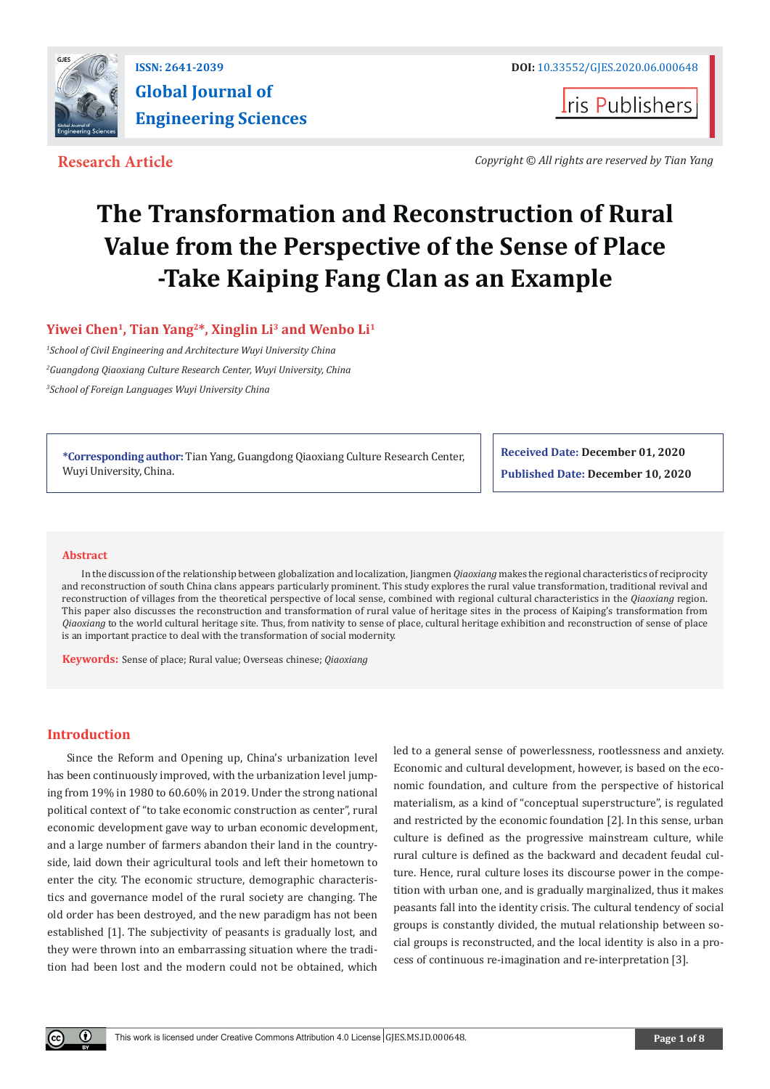

**ISSN: 2641-2039 DOI: [10.33552/GJES.2020.06.000648](http://dx.doi.org/10.33552/GJES.2020.06.000648)** 

**I**ris Publishers

**Research Article** *Copyright © All rights are reserved by Tian Yang*

# **The Transformation and Reconstruction of Rural Value from the Perspective of the Sense of Place -Take Kaiping Fang Clan as an Example**

Yiwei Chen<sup>1</sup>, Tian Yang<sup>2\*</sup>, Xinglin Li<sup>3</sup> and Wenbo Li<sup>1</sup>

*1 School of Civil Engineering and Architecture Wuyi University China 2 Guangdong Qiaoxiang Culture Research Center, Wuyi University, China 3 School of Foreign Languages Wuyi University China*

**\*Corresponding author:** Tian Yang, Guangdong Qiaoxiang Culture Research Center, Wuyi University, China.

**Received Date: December 01, 2020 Published Date: December 10, 2020**

#### **Abstract**

In the discussion of the relationship between globalization and localization, Jiangmen *Qiaoxiang* makes the regional characteristics of reciprocity and reconstruction of south China clans appears particularly prominent. This study explores the rural value transformation, traditional revival and reconstruction of villages from the theoretical perspective of local sense, combined with regional cultural characteristics in the *Qiaoxiang* region. This paper also discusses the reconstruction and transformation of rural value of heritage sites in the process of Kaiping's transformation from *Qiaoxiang* to the world cultural heritage site. Thus, from nativity to sense of place, cultural heritage exhibition and reconstruction of sense of place is an important practice to deal with the transformation of social modernity.

**Keywords:** Sense of place; Rural value; Overseas chinese; *Qiaoxiang*

## **Introduction**

Since the Reform and Opening up, China's urbanization level has been continuously improved, with the urbanization level jumping from 19% in 1980 to 60.60% in 2019. Under the strong national political context of "to take economic construction as center", rural economic development gave way to urban economic development, and a large number of farmers abandon their land in the countryside, laid down their agricultural tools and left their hometown to enter the city. The economic structure, demographic characteristics and governance model of the rural society are changing. The old order has been destroyed, and the new paradigm has not been established [1]. The subjectivity of peasants is gradually lost, and they were thrown into an embarrassing situation where the tradition had been lost and the modern could not be obtained, which

led to a general sense of powerlessness, rootlessness and anxiety. Economic and cultural development, however, is based on the economic foundation, and culture from the perspective of historical materialism, as a kind of "conceptual superstructure", is regulated and restricted by the economic foundation [2]. In this sense, urban culture is defined as the progressive mainstream culture, while rural culture is defined as the backward and decadent feudal culture. Hence, rural culture loses its discourse power in the competition with urban one, and is gradually marginalized, thus it makes peasants fall into the identity crisis. The cultural tendency of social groups is constantly divided, the mutual relationship between social groups is reconstructed, and the local identity is also in a process of continuous re-imagination and re-interpretation [3].

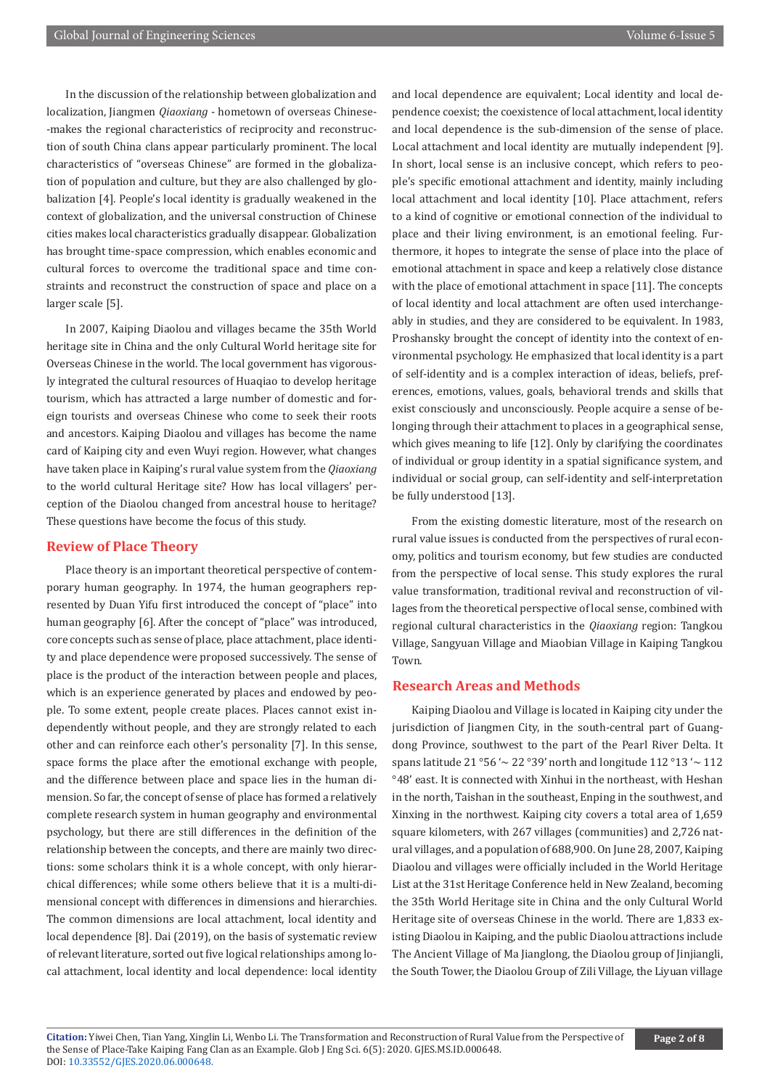In the discussion of the relationship between globalization and localization, Jiangmen *Qiaoxiang* - hometown of overseas Chinese- -makes the regional characteristics of reciprocity and reconstruction of south China clans appear particularly prominent. The local characteristics of "overseas Chinese" are formed in the globalization of population and culture, but they are also challenged by globalization [4]. People's local identity is gradually weakened in the context of globalization, and the universal construction of Chinese cities makes local characteristics gradually disappear. Globalization has brought time-space compression, which enables economic and cultural forces to overcome the traditional space and time constraints and reconstruct the construction of space and place on a larger scale [5].

In 2007, Kaiping Diaolou and villages became the 35th World heritage site in China and the only Cultural World heritage site for Overseas Chinese in the world. The local government has vigorously integrated the cultural resources of Huaqiao to develop heritage tourism, which has attracted a large number of domestic and foreign tourists and overseas Chinese who come to seek their roots and ancestors. Kaiping Diaolou and villages has become the name card of Kaiping city and even Wuyi region. However, what changes have taken place in Kaiping's rural value system from the *Qiaoxiang* to the world cultural Heritage site? How has local villagers' perception of the Diaolou changed from ancestral house to heritage? These questions have become the focus of this study.

#### **Review of Place Theory**

Place theory is an important theoretical perspective of contemporary human geography. In 1974, the human geographers represented by Duan Yifu first introduced the concept of "place" into human geography [6]. After the concept of "place" was introduced, core concepts such as sense of place, place attachment, place identity and place dependence were proposed successively. The sense of place is the product of the interaction between people and places, which is an experience generated by places and endowed by people. To some extent, people create places. Places cannot exist independently without people, and they are strongly related to each other and can reinforce each other's personality [7]. In this sense, space forms the place after the emotional exchange with people, and the difference between place and space lies in the human dimension. So far, the concept of sense of place has formed a relatively complete research system in human geography and environmental psychology, but there are still differences in the definition of the relationship between the concepts, and there are mainly two directions: some scholars think it is a whole concept, with only hierarchical differences; while some others believe that it is a multi-dimensional concept with differences in dimensions and hierarchies. The common dimensions are local attachment, local identity and local dependence [8]. Dai (2019), on the basis of systematic review of relevant literature, sorted out five logical relationships among local attachment, local identity and local dependence: local identity

and local dependence are equivalent; Local identity and local dependence coexist; the coexistence of local attachment, local identity and local dependence is the sub-dimension of the sense of place. Local attachment and local identity are mutually independent [9]. In short, local sense is an inclusive concept, which refers to people's specific emotional attachment and identity, mainly including local attachment and local identity [10]. Place attachment, refers to a kind of cognitive or emotional connection of the individual to place and their living environment, is an emotional feeling. Furthermore, it hopes to integrate the sense of place into the place of emotional attachment in space and keep a relatively close distance with the place of emotional attachment in space [11]. The concepts of local identity and local attachment are often used interchangeably in studies, and they are considered to be equivalent. In 1983, Proshansky brought the concept of identity into the context of environmental psychology. He emphasized that local identity is a part of self-identity and is a complex interaction of ideas, beliefs, preferences, emotions, values, goals, behavioral trends and skills that exist consciously and unconsciously. People acquire a sense of belonging through their attachment to places in a geographical sense, which gives meaning to life [12]. Only by clarifying the coordinates of individual or group identity in a spatial significance system, and individual or social group, can self-identity and self-interpretation be fully understood [13].

From the existing domestic literature, most of the research on rural value issues is conducted from the perspectives of rural economy, politics and tourism economy, but few studies are conducted from the perspective of local sense. This study explores the rural value transformation, traditional revival and reconstruction of villages from the theoretical perspective of local sense, combined with regional cultural characteristics in the *Qiaoxiang* region: Tangkou Village, Sangyuan Village and Miaobian Village in Kaiping Tangkou Town.

#### **Research Areas and Methods**

Kaiping Diaolou and Village is located in Kaiping city under the jurisdiction of Jiangmen City, in the south-central part of Guangdong Province, southwest to the part of the Pearl River Delta. It spans latitude 21 °56 ' $\sim$  22 °39' north and longitude 112 °13 ' $\sim$  112 °48' east. It is connected with Xinhui in the northeast, with Heshan in the north, Taishan in the southeast, Enping in the southwest, and Xinxing in the northwest. Kaiping city covers a total area of 1,659 square kilometers, with 267 villages (communities) and 2,726 natural villages, and a population of 688,900. On June 28, 2007, Kaiping Diaolou and villages were officially included in the World Heritage List at the 31st Heritage Conference held in New Zealand, becoming the 35th World Heritage site in China and the only Cultural World Heritage site of overseas Chinese in the world. There are 1,833 existing Diaolou in Kaiping, and the public Diaolou attractions include The Ancient Village of Ma Jianglong, the Diaolou group of Jinjiangli, the South Tower, the Diaolou Group of Zili Village, the Liyuan village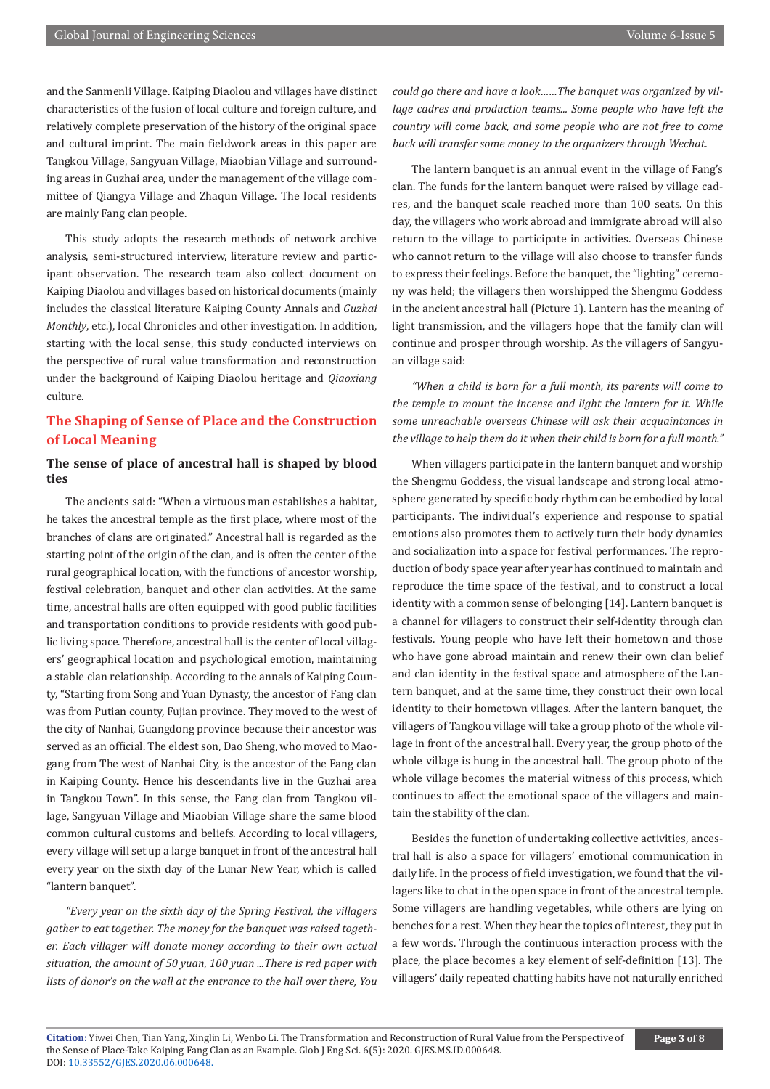and the Sanmenli Village. Kaiping Diaolou and villages have distinct characteristics of the fusion of local culture and foreign culture, and relatively complete preservation of the history of the original space and cultural imprint. The main fieldwork areas in this paper are Tangkou Village, Sangyuan Village, Miaobian Village and surrounding areas in Guzhai area, under the management of the village committee of Qiangya Village and Zhaqun Village. The local residents are mainly Fang clan people.

This study adopts the research methods of network archive analysis, semi-structured interview, literature review and participant observation. The research team also collect document on Kaiping Diaolou and villages based on historical documents (mainly includes the classical literature Kaiping County Annals and *Guzhai Monthly*, etc.), local Chronicles and other investigation. In addition, starting with the local sense, this study conducted interviews on the perspective of rural value transformation and reconstruction under the background of Kaiping Diaolou heritage and *Qiaoxiang* culture.

# **The Shaping of Sense of Place and the Construction of Local Meaning**

# **The sense of place of ancestral hall is shaped by blood ties**

The ancients said: "When a virtuous man establishes a habitat, he takes the ancestral temple as the first place, where most of the branches of clans are originated." Ancestral hall is regarded as the starting point of the origin of the clan, and is often the center of the rural geographical location, with the functions of ancestor worship, festival celebration, banquet and other clan activities. At the same time, ancestral halls are often equipped with good public facilities and transportation conditions to provide residents with good public living space. Therefore, ancestral hall is the center of local villagers' geographical location and psychological emotion, maintaining a stable clan relationship. According to the annals of Kaiping County, "Starting from Song and Yuan Dynasty, the ancestor of Fang clan was from Putian county, Fujian province. They moved to the west of the city of Nanhai, Guangdong province because their ancestor was served as an official. The eldest son, Dao Sheng, who moved to Maogang from The west of Nanhai City, is the ancestor of the Fang clan in Kaiping County. Hence his descendants live in the Guzhai area in Tangkou Town". In this sense, the Fang clan from Tangkou village, Sangyuan Village and Miaobian Village share the same blood common cultural customs and beliefs. According to local villagers, every village will set up a large banquet in front of the ancestral hall every year on the sixth day of the Lunar New Year, which is called "lantern banquet".

*"Every year on the sixth day of the Spring Festival, the villagers gather to eat together. The money for the banquet was raised together. Each villager will donate money according to their own actual situation, the amount of 50 yuan, 100 yuan ...There is red paper with lists of donor's on the wall at the entrance to the hall over there, You* 

*could go there and have a look……The banquet was organized by village cadres and production teams... Some people who have left the country will come back, and some people who are not free to come back will transfer some money to the organizers through Wechat.*

The lantern banquet is an annual event in the village of Fang's clan. The funds for the lantern banquet were raised by village cadres, and the banquet scale reached more than 100 seats. On this day, the villagers who work abroad and immigrate abroad will also return to the village to participate in activities. Overseas Chinese who cannot return to the village will also choose to transfer funds to express their feelings. Before the banquet, the "lighting" ceremony was held; the villagers then worshipped the Shengmu Goddess in the ancient ancestral hall (Picture 1). Lantern has the meaning of light transmission, and the villagers hope that the family clan will continue and prosper through worship. As the villagers of Sangyuan village said:

*"When a child is born for a full month, its parents will come to the temple to mount the incense and light the lantern for it. While some unreachable overseas Chinese will ask their acquaintances in the village to help them do it when their child is born for a full month."*

When villagers participate in the lantern banquet and worship the Shengmu Goddess, the visual landscape and strong local atmosphere generated by specific body rhythm can be embodied by local participants. The individual's experience and response to spatial emotions also promotes them to actively turn their body dynamics and socialization into a space for festival performances. The reproduction of body space year after year has continued to maintain and reproduce the time space of the festival, and to construct a local identity with a common sense of belonging [14]. Lantern banquet is a channel for villagers to construct their self-identity through clan festivals. Young people who have left their hometown and those who have gone abroad maintain and renew their own clan belief and clan identity in the festival space and atmosphere of the Lantern banquet, and at the same time, they construct their own local identity to their hometown villages. After the lantern banquet, the villagers of Tangkou village will take a group photo of the whole village in front of the ancestral hall. Every year, the group photo of the whole village is hung in the ancestral hall. The group photo of the whole village becomes the material witness of this process, which continues to affect the emotional space of the villagers and maintain the stability of the clan.

Besides the function of undertaking collective activities, ancestral hall is also a space for villagers' emotional communication in daily life. In the process of field investigation, we found that the villagers like to chat in the open space in front of the ancestral temple. Some villagers are handling vegetables, while others are lying on benches for a rest. When they hear the topics of interest, they put in a few words. Through the continuous interaction process with the place, the place becomes a key element of self-definition [13]. The villagers' daily repeated chatting habits have not naturally enriched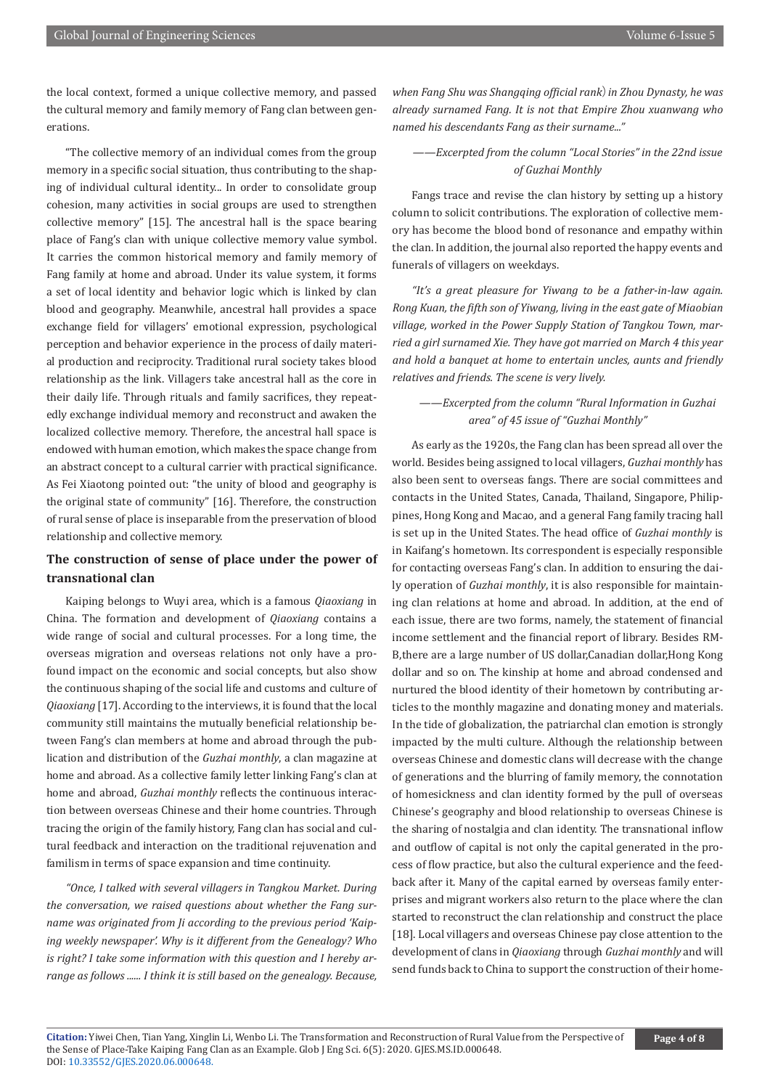the local context, formed a unique collective memory, and passed the cultural memory and family memory of Fang clan between generations.

"The collective memory of an individual comes from the group memory in a specific social situation, thus contributing to the shaping of individual cultural identity... In order to consolidate group cohesion, many activities in social groups are used to strengthen collective memory" [15]. The ancestral hall is the space bearing place of Fang's clan with unique collective memory value symbol. It carries the common historical memory and family memory of Fang family at home and abroad. Under its value system, it forms a set of local identity and behavior logic which is linked by clan blood and geography. Meanwhile, ancestral hall provides a space exchange field for villagers' emotional expression, psychological perception and behavior experience in the process of daily material production and reciprocity. Traditional rural society takes blood relationship as the link. Villagers take ancestral hall as the core in their daily life. Through rituals and family sacrifices, they repeatedly exchange individual memory and reconstruct and awaken the localized collective memory. Therefore, the ancestral hall space is endowed with human emotion, which makes the space change from an abstract concept to a cultural carrier with practical significance. As Fei Xiaotong pointed out: "the unity of blood and geography is the original state of community" [16]. Therefore, the construction of rural sense of place is inseparable from the preservation of blood relationship and collective memory.

# **The construction of sense of place under the power of transnational clan**

Kaiping belongs to Wuyi area, which is a famous *Qiaoxiang* in China. The formation and development of *Qiaoxiang* contains a wide range of social and cultural processes. For a long time, the overseas migration and overseas relations not only have a profound impact on the economic and social concepts, but also show the continuous shaping of the social life and customs and culture of *Qiaoxiang* [17]. According to the interviews, it is found that the local community still maintains the mutually beneficial relationship between Fang's clan members at home and abroad through the publication and distribution of the *Guzhai monthly*, a clan magazine at home and abroad. As a collective family letter linking Fang's clan at home and abroad, *Guzhai monthly* reflects the continuous interaction between overseas Chinese and their home countries. Through tracing the origin of the family history, Fang clan has social and cultural feedback and interaction on the traditional rejuvenation and familism in terms of space expansion and time continuity.

*"Once, I talked with several villagers in Tangkou Market. During the conversation, we raised questions about whether the Fang surname was originated from Ji according to the previous period 'Kaiping weekly newspaper'. Why is it different from the Genealogy? Who is right? I take some information with this question and I hereby arrange as follows ...... I think it is still based on the genealogy. Because,*  *when Fang Shu was Shangqing official rank*)*in Zhou Dynasty, he was already surnamed Fang. It is not that Empire Zhou xuanwang who named his descendants Fang as their surname..."*

# *——Excerpted from the column "Local Stories" in the 22nd issue of Guzhai Monthly*

Fangs trace and revise the clan history by setting up a history column to solicit contributions. The exploration of collective memory has become the blood bond of resonance and empathy within the clan. In addition, the journal also reported the happy events and funerals of villagers on weekdays.

*"It's a great pleasure for Yiwang to be a father-in-law again. Rong Kuan, the fifth son of Yiwang, living in the east gate of Miaobian village, worked in the Power Supply Station of Tangkou Town, married a girl surnamed Xie. They have got married on March 4 this year and hold a banquet at home to entertain uncles, aunts and friendly relatives and friends. The scene is very lively.*

# *——Excerpted from the column "Rural Information in Guzhai area" of 45 issue of "Guzhai Monthly"*

As early as the 1920s, the Fang clan has been spread all over the world. Besides being assigned to local villagers, *Guzhai monthly* has also been sent to overseas fangs. There are social committees and contacts in the United States, Canada, Thailand, Singapore, Philippines, Hong Kong and Macao, and a general Fang family tracing hall is set up in the United States. The head office of *Guzhai monthly* is in Kaifang's hometown. Its correspondent is especially responsible for contacting overseas Fang's clan. In addition to ensuring the daily operation of *Guzhai monthly*, it is also responsible for maintaining clan relations at home and abroad. In addition, at the end of each issue, there are two forms, namely, the statement of financial income settlement and the financial report of library. Besides RM-B,there are a large number of US dollar,Canadian dollar,Hong Kong dollar and so on. The kinship at home and abroad condensed and nurtured the blood identity of their hometown by contributing articles to the monthly magazine and donating money and materials. In the tide of globalization, the patriarchal clan emotion is strongly impacted by the multi culture. Although the relationship between overseas Chinese and domestic clans will decrease with the change of generations and the blurring of family memory, the connotation of homesickness and clan identity formed by the pull of overseas Chinese's geography and blood relationship to overseas Chinese is the sharing of nostalgia and clan identity. The transnational inflow and outflow of capital is not only the capital generated in the process of flow practice, but also the cultural experience and the feedback after it. Many of the capital earned by overseas family enterprises and migrant workers also return to the place where the clan started to reconstruct the clan relationship and construct the place [18]. Local villagers and overseas Chinese pay close attention to the development of clans in *Qiaoxiang* through *Guzhai monthly* and will send funds back to China to support the construction of their home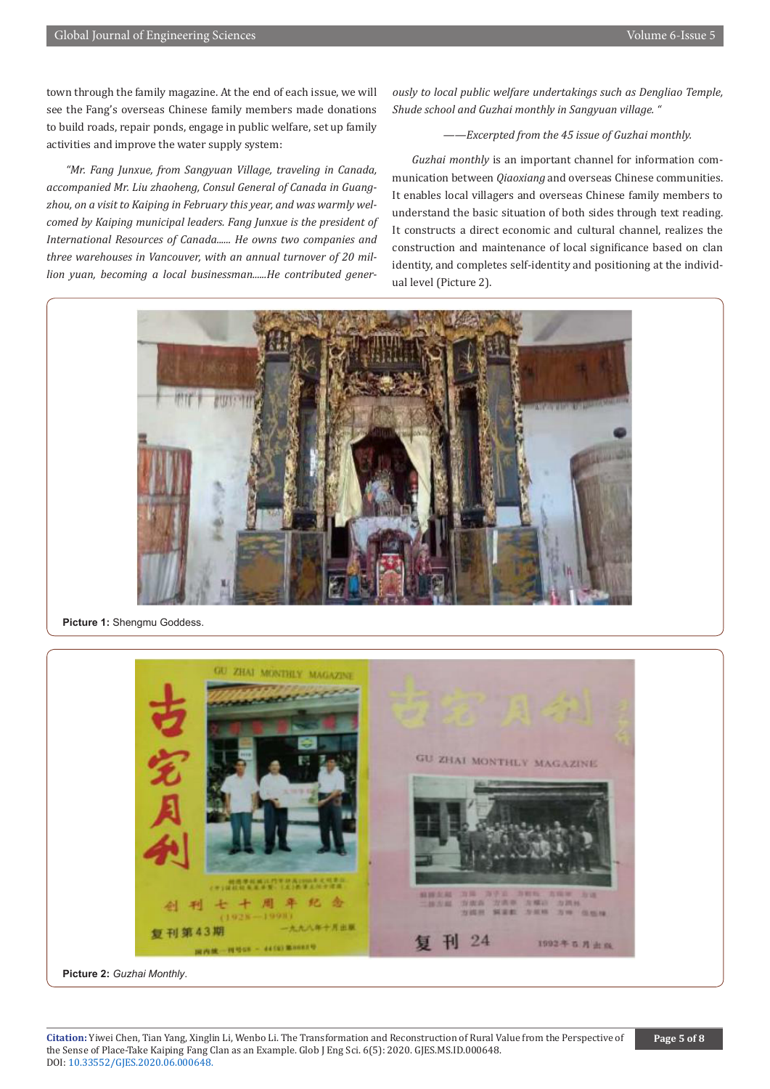town through the family magazine. At the end of each issue, we will see the Fang's overseas Chinese family members made donations to build roads, repair ponds, engage in public welfare, set up family activities and improve the water supply system:

*"Mr. Fang Junxue, from Sangyuan Village, traveling in Canada, accompanied Mr. Liu zhaoheng, Consul General of Canada in Guangzhou, on a visit to Kaiping in February this year, and was warmly welcomed by Kaiping municipal leaders. Fang Junxue is the president of International Resources of Canada...... He owns two companies and three warehouses in Vancouver, with an annual turnover of 20 million yuan, becoming a local businessman......He contributed gener-* *ously to local public welfare undertakings such as Dengliao Temple, Shude school and Guzhai monthly in Sangyuan village. "*

# *——Excerpted from the 45 issue of Guzhai monthly.*

*Guzhai monthly* is an important channel for information communication between *Qiaoxiang* and overseas Chinese communities. It enables local villagers and overseas Chinese family members to understand the basic situation of both sides through text reading. It constructs a direct economic and cultural channel, realizes the construction and maintenance of local significance based on clan identity, and completes self-identity and positioning at the individual level (Picture 2).



**Picture 1:** Shengmu Goddess.



**Picture 2:** *Guzhai Monthly*.

**Citation:** Yiwei Chen, Tian Yang, Xinglin Li, Wenbo Li. The Transformation and Reconstruction of Rural Value from the Perspective of the Sense of Place-Take Kaiping Fang Clan as an Example. Glob J Eng Sci. 6(5): 2020. GJES.MS.ID.000648. DOI: [10.33552/GJES.2020.06.000648.](http://dx.doi.org/10.33552/GJES.2020.06.000648)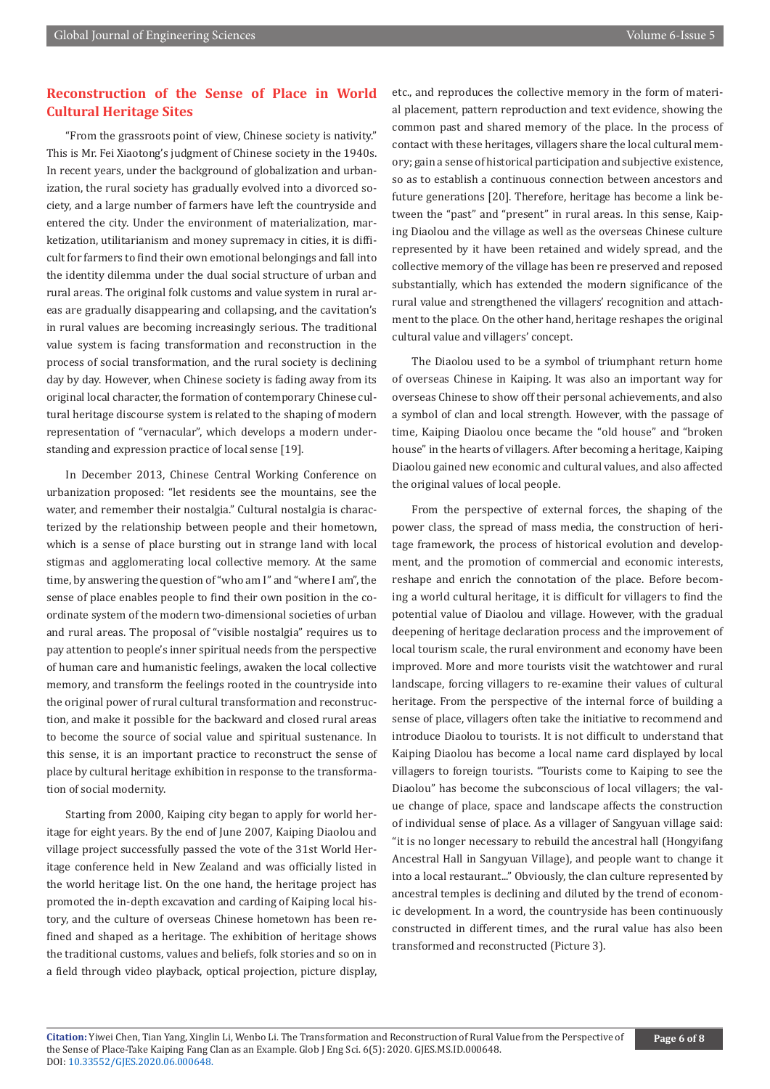# **Reconstruction of the Sense of Place in World Cultural Heritage Sites**

"From the grassroots point of view, Chinese society is nativity." This is Mr. Fei Xiaotong's judgment of Chinese society in the 1940s. In recent years, under the background of globalization and urbanization, the rural society has gradually evolved into a divorced society, and a large number of farmers have left the countryside and entered the city. Under the environment of materialization, marketization, utilitarianism and money supremacy in cities, it is difficult for farmers to find their own emotional belongings and fall into the identity dilemma under the dual social structure of urban and rural areas. The original folk customs and value system in rural areas are gradually disappearing and collapsing, and the cavitation's in rural values are becoming increasingly serious. The traditional value system is facing transformation and reconstruction in the process of social transformation, and the rural society is declining day by day. However, when Chinese society is fading away from its original local character, the formation of contemporary Chinese cultural heritage discourse system is related to the shaping of modern representation of "vernacular", which develops a modern understanding and expression practice of local sense [19].

In December 2013, Chinese Central Working Conference on urbanization proposed: "let residents see the mountains, see the water, and remember their nostalgia." Cultural nostalgia is characterized by the relationship between people and their hometown, which is a sense of place bursting out in strange land with local stigmas and agglomerating local collective memory. At the same time, by answering the question of "who am I" and "where I am", the sense of place enables people to find their own position in the coordinate system of the modern two-dimensional societies of urban and rural areas. The proposal of "visible nostalgia" requires us to pay attention to people's inner spiritual needs from the perspective of human care and humanistic feelings, awaken the local collective memory, and transform the feelings rooted in the countryside into the original power of rural cultural transformation and reconstruction, and make it possible for the backward and closed rural areas to become the source of social value and spiritual sustenance. In this sense, it is an important practice to reconstruct the sense of place by cultural heritage exhibition in response to the transformation of social modernity.

Starting from 2000, Kaiping city began to apply for world heritage for eight years. By the end of June 2007, Kaiping Diaolou and village project successfully passed the vote of the 31st World Heritage conference held in New Zealand and was officially listed in the world heritage list. On the one hand, the heritage project has promoted the in-depth excavation and carding of Kaiping local history, and the culture of overseas Chinese hometown has been refined and shaped as a heritage. The exhibition of heritage shows the traditional customs, values and beliefs, folk stories and so on in a field through video playback, optical projection, picture display,

etc., and reproduces the collective memory in the form of material placement, pattern reproduction and text evidence, showing the common past and shared memory of the place. In the process of contact with these heritages, villagers share the local cultural memory; gain a sense of historical participation and subjective existence, so as to establish a continuous connection between ancestors and future generations [20]. Therefore, heritage has become a link between the "past" and "present" in rural areas. In this sense, Kaiping Diaolou and the village as well as the overseas Chinese culture represented by it have been retained and widely spread, and the collective memory of the village has been re preserved and reposed substantially, which has extended the modern significance of the rural value and strengthened the villagers' recognition and attachment to the place. On the other hand, heritage reshapes the original cultural value and villagers' concept.

The Diaolou used to be a symbol of triumphant return home of overseas Chinese in Kaiping. It was also an important way for overseas Chinese to show off their personal achievements, and also a symbol of clan and local strength. However, with the passage of time, Kaiping Diaolou once became the "old house" and "broken house" in the hearts of villagers. After becoming a heritage, Kaiping Diaolou gained new economic and cultural values, and also affected the original values of local people.

From the perspective of external forces, the shaping of the power class, the spread of mass media, the construction of heritage framework, the process of historical evolution and development, and the promotion of commercial and economic interests, reshape and enrich the connotation of the place. Before becoming a world cultural heritage, it is difficult for villagers to find the potential value of Diaolou and village. However, with the gradual deepening of heritage declaration process and the improvement of local tourism scale, the rural environment and economy have been improved. More and more tourists visit the watchtower and rural landscape, forcing villagers to re-examine their values of cultural heritage. From the perspective of the internal force of building a sense of place, villagers often take the initiative to recommend and introduce Diaolou to tourists. It is not difficult to understand that Kaiping Diaolou has become a local name card displayed by local villagers to foreign tourists. "Tourists come to Kaiping to see the Diaolou" has become the subconscious of local villagers; the value change of place, space and landscape affects the construction of individual sense of place. As a villager of Sangyuan village said: "it is no longer necessary to rebuild the ancestral hall (Hongyifang Ancestral Hall in Sangyuan Village), and people want to change it into a local restaurant..." Obviously, the clan culture represented by ancestral temples is declining and diluted by the trend of economic development. In a word, the countryside has been continuously constructed in different times, and the rural value has also been transformed and reconstructed (Picture 3).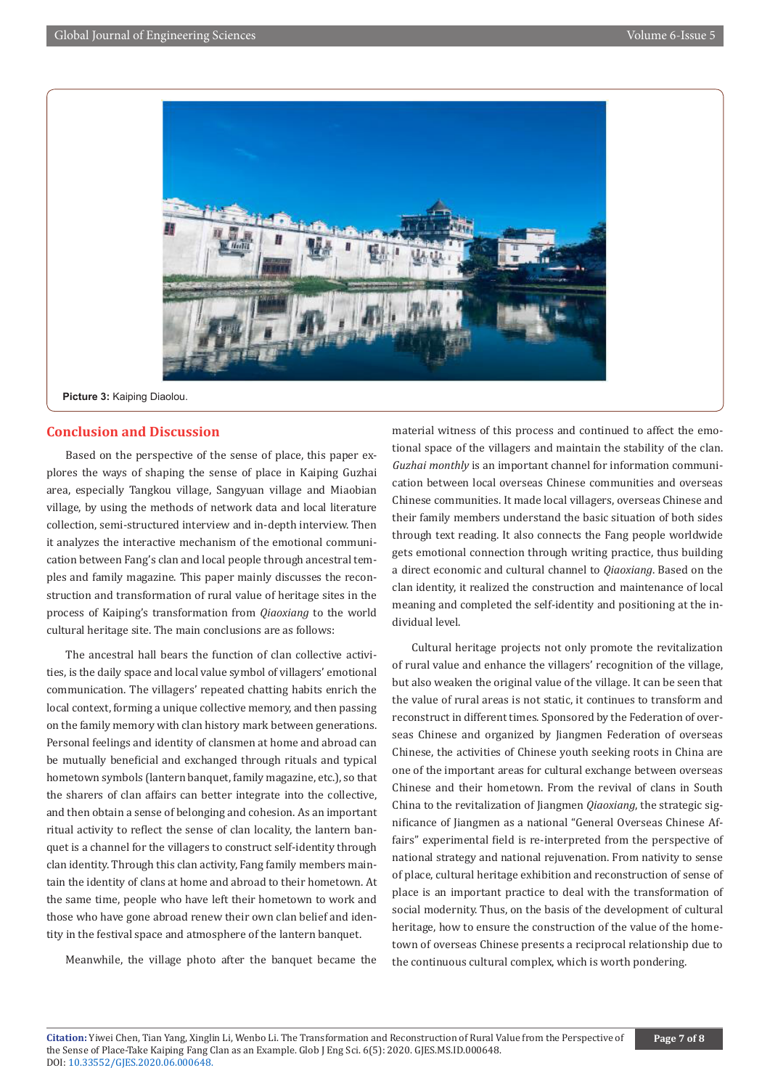

**Picture 3:** Kaiping Diaolou.

#### **Conclusion and Discussion**

Based on the perspective of the sense of place, this paper explores the ways of shaping the sense of place in Kaiping Guzhai area, especially Tangkou village, Sangyuan village and Miaobian village, by using the methods of network data and local literature collection, semi-structured interview and in-depth interview. Then it analyzes the interactive mechanism of the emotional communication between Fang's clan and local people through ancestral temples and family magazine. This paper mainly discusses the reconstruction and transformation of rural value of heritage sites in the process of Kaiping's transformation from *Qiaoxiang* to the world cultural heritage site. The main conclusions are as follows:

The ancestral hall bears the function of clan collective activities, is the daily space and local value symbol of villagers' emotional communication. The villagers' repeated chatting habits enrich the local context, forming a unique collective memory, and then passing on the family memory with clan history mark between generations. Personal feelings and identity of clansmen at home and abroad can be mutually beneficial and exchanged through rituals and typical hometown symbols (lantern banquet, family magazine, etc.), so that the sharers of clan affairs can better integrate into the collective, and then obtain a sense of belonging and cohesion. As an important ritual activity to reflect the sense of clan locality, the lantern banquet is a channel for the villagers to construct self-identity through clan identity. Through this clan activity, Fang family members maintain the identity of clans at home and abroad to their hometown. At the same time, people who have left their hometown to work and those who have gone abroad renew their own clan belief and identity in the festival space and atmosphere of the lantern banquet.

Meanwhile, the village photo after the banquet became the

material witness of this process and continued to affect the emotional space of the villagers and maintain the stability of the clan. *Guzhai monthly* is an important channel for information communication between local overseas Chinese communities and overseas Chinese communities. It made local villagers, overseas Chinese and their family members understand the basic situation of both sides through text reading. It also connects the Fang people worldwide gets emotional connection through writing practice, thus building a direct economic and cultural channel to *Qiaoxiang*. Based on the clan identity, it realized the construction and maintenance of local meaning and completed the self-identity and positioning at the individual level.

Cultural heritage projects not only promote the revitalization of rural value and enhance the villagers' recognition of the village, but also weaken the original value of the village. It can be seen that the value of rural areas is not static, it continues to transform and reconstruct in different times. Sponsored by the Federation of overseas Chinese and organized by Jiangmen Federation of overseas Chinese, the activities of Chinese youth seeking roots in China are one of the important areas for cultural exchange between overseas Chinese and their hometown. From the revival of clans in South China to the revitalization of Jiangmen *Qiaoxiang*, the strategic significance of Jiangmen as a national "General Overseas Chinese Affairs" experimental field is re-interpreted from the perspective of national strategy and national rejuvenation. From nativity to sense of place, cultural heritage exhibition and reconstruction of sense of place is an important practice to deal with the transformation of social modernity. Thus, on the basis of the development of cultural heritage, how to ensure the construction of the value of the hometown of overseas Chinese presents a reciprocal relationship due to the continuous cultural complex, which is worth pondering.